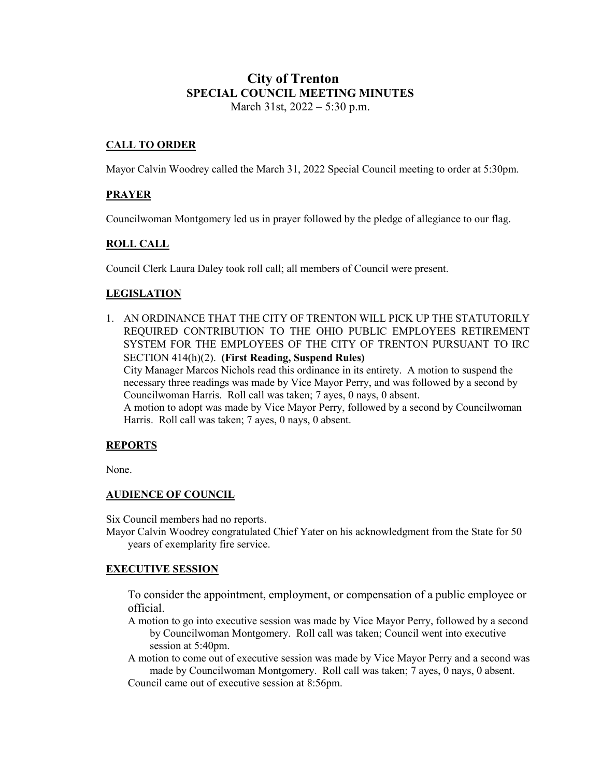## **City of Trenton SPECIAL COUNCIL MEETING MINUTES** March 31st, 2022 – 5:30 p.m.

## **CALL TO ORDER**

Mayor Calvin Woodrey called the March 31, 2022 Special Council meeting to order at 5:30pm.

## **PRAYER**

Councilwoman Montgomery led us in prayer followed by the pledge of allegiance to our flag.

## **ROLL CALL**

Council Clerk Laura Daley took roll call; all members of Council were present.

## **LEGISLATION**

1. AN ORDINANCE THAT THE CITY OF TRENTON WILL PICK UP THE STATUTORILY REQUIRED CONTRIBUTION TO THE OHIO PUBLIC EMPLOYEES RETIREMENT SYSTEM FOR THE EMPLOYEES OF THE CITY OF TRENTON PURSUANT TO IRC SECTION 414(h)(2). **(First Reading, Suspend Rules)** City Manager Marcos Nichols read this ordinance in its entirety. A motion to suspend the necessary three readings was made by Vice Mayor Perry, and was followed by a second by Councilwoman Harris. Roll call was taken; 7 ayes, 0 nays, 0 absent. A motion to adopt was made by Vice Mayor Perry, followed by a second by Councilwoman Harris. Roll call was taken; 7 ayes, 0 nays, 0 absent.

#### **REPORTS**

None.

#### **AUDIENCE OF COUNCIL**

Six Council members had no reports.

Mayor Calvin Woodrey congratulated Chief Yater on his acknowledgment from the State for 50 years of exemplarity fire service.

#### **EXECUTIVE SESSION**

To consider the appointment, employment, or compensation of a public employee or official.

- A motion to go into executive session was made by Vice Mayor Perry, followed by a second by Councilwoman Montgomery. Roll call was taken; Council went into executive session at 5:40pm.
- A motion to come out of executive session was made by Vice Mayor Perry and a second was made by Councilwoman Montgomery. Roll call was taken; 7 ayes, 0 nays, 0 absent.

Council came out of executive session at 8:56pm.